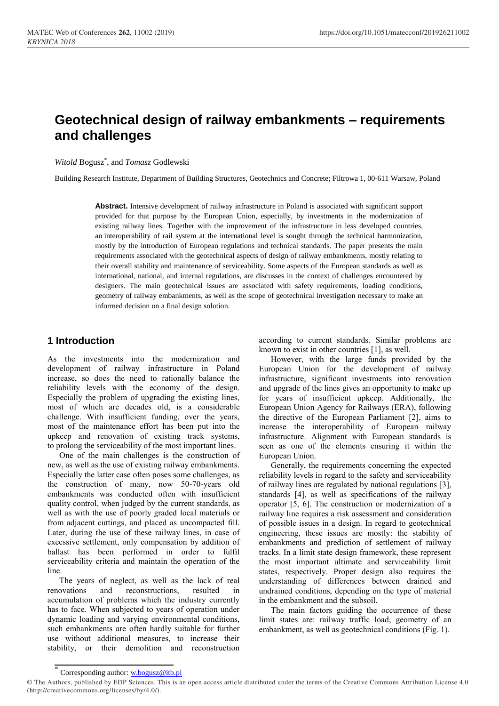# **Geotechnical design of railway embankments – requirements and challenges**

*Witold* Bogusz\* , and *Tomasz* Godlewski

Building Research Institute, Department of Building Structures, Geotechnics and Concrete; Filtrowa 1, 00-611 Warsaw, Poland

**Abstract.** Intensive development of railway infrastructure in Poland is associated with significant support provided for that purpose by the European Union, especially, by investments in the modernization of existing railway lines. Together with the improvement of the infrastructure in less developed countries, an interoperability of rail system at the international level is sought through the technical harmonization, mostly by the introduction of European regulations and technical standards. The paper presents the main requirements associated with the geotechnical aspects of design of railway embankments, mostly relating to their overall stability and maintenance of serviceability. Some aspects of the European standards as well as international, national, and internal regulations, are discusses in the context of challenges encountered by designers. The main geotechnical issues are associated with safety requirements, loading conditions, geometry of railway embankments, as well as the scope of geotechnical investigation necessary to make an informed decision on a final design solution.

# **1 Introduction**

As the investments into the modernization and development of railway infrastructure in Poland increase, so does the need to rationally balance the reliability levels with the economy of the design. Especially the problem of upgrading the existing lines, most of which are decades old, is a considerable challenge. With insufficient funding, over the years, most of the maintenance effort has been put into the upkeep and renovation of existing track systems, to prolong the serviceability of the most important lines.

One of the main challenges is the construction of new, as well as the use of existing railway embankments. Especially the latter case often poses some challenges, as the construction of many, now 50-70-years old embankments was conducted often with insufficient quality control, when judged by the current standards, as well as with the use of poorly graded local materials or from adjacent cuttings, and placed as uncompacted fill. Later, during the use of these railway lines, in case of excessive settlement, only compensation by addition of ballast has been performed in order to fulfil serviceability criteria and maintain the operation of the line.

The years of neglect, as well as the lack of real renovations and reconstructions, resulted in accumulation of problems which the industry currently has to face. When subjected to years of operation under dynamic loading and varying environmental conditions, such embankments are often hardly suitable for further use without additional measures, to increase their stability, or their demolition and reconstruction

according to current standards. Similar problems are known to exist in other countries [\[1\]](#page-6-0), as well.

However, with the large funds provided by the European Union for the development of railway infrastructure, significant investments into renovation and upgrade of the lines gives an opportunity to make up for years of insufficient upkeep. Additionally, the European Union Agency for Railways (ERA), following the directive of the European Parliament [\[2\]](#page-6-1), aims to increase the interoperability of European railway infrastructure. Alignment with European standards is seen as one of the elements ensuring it within the European Union.

Generally, the requirements concerning the expected reliability levels in regard to the safety and serviceability of railway lines are regulated by national regulations [\[3\]](#page-6-2), standards [\[4\]](#page-6-3), as well as specifications of the railway operator [\[5,](#page-6-4) [6\]](#page-6-5). The construction or modernization of a railway line requires a risk assessment and consideration of possible issues in a design. In regard to geotechnical engineering, these issues are mostly: the stability of embankments and prediction of settlement of railway tracks. In a limit state design framework, these represent the most important ultimate and serviceability limit states, respectively. Proper design also requires the understanding of differences between drained and undrained conditions, depending on the type of material in the embankment and the subsoil.

The main factors guiding the occurrence of these limit states are: railway traffic load, geometry of an embankment, as well as geotechnical conditions (Fig. 1).

<sup>\*</sup> Corresponding author[: w.bogusz@itb.pl](mailto:w.bogusz@itb.pl)

<sup>©</sup> The Authors, published by EDP Sciences. This is an open access article distributed under the terms of the Creative Commons Attribution License 4.0 (http://creativecommons.org/licenses/by/4.0/).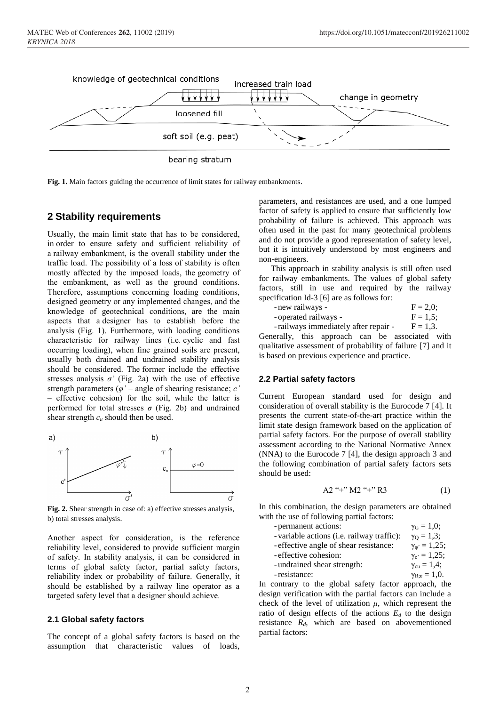

**Fig. 1.** Main factors guiding the occurrence of limit states for railway embankments.

## **2 Stability requirements**

Usually, the main limit state that has to be considered, in order to ensure safety and sufficient reliability of a railway embankment, is the overall stability under the traffic load. The possibility of a loss of stability is often mostly affected by the imposed loads, the geometry of the embankment, as well as the ground conditions. Therefore, assumptions concerning loading conditions, designed geometry or any implemented changes, and the knowledge of geotechnical conditions, are the main aspects that a designer has to establish before the analysis (Fig. 1). Furthermore, with loading conditions characteristic for railway lines (i.e. cyclic and fast occurring loading), when fine grained soils are present, usually both drained and undrained stability analysis should be considered. The former include the effective stresses analysis  $\sigma'$  (Fig. 2a) with the use of effective strength parameters (*φ'* – angle of shearing resistance; *c'* – effective cohesion) for the soil, while the latter is performed for total stresses  $\sigma$  (Fig. 2b) and undrained shear strength  $c<sub>u</sub>$  should then be used.



**Fig. 2.** Shear strength in case of: a) effective stresses analysis, b) total stresses analysis.

Another aspect for consideration, is the reference reliability level, considered to provide sufficient margin of safety. In stability analysis, it can be considered in terms of global safety factor, partial safety factors, reliability index or probability of failure. Generally, it should be established by a railway line operator as a targeted safety level that a designer should achieve.

#### **2.1 Global safety factors**

The concept of a global safety factors is based on the assumption that characteristic values of loads,

parameters, and resistances are used, and a one lumped factor of safety is applied to ensure that sufficiently low probability of failure is achieved. This approach was often used in the past for many geotechnical problems and do not provide a good representation of safety level, but it is intuitively understood by most engineers and non-engineers.

This approach in stability analysis is still often used for railway embankments. The values of global safety factors, still in use and required by the railway specification Id-3 [\[6\]](#page-6-5) are as follows for:

| - new railways -                      | $F = 2.0$ ; |
|---------------------------------------|-------------|
| - operated railways -                 | $F = 1.5$ ; |
| - railways immediately after repair - | $F = 1.3.$  |

Generally, this approach can be associated with qualitative assessment of probability of failure [\[7\]](#page-6-6) and it is based on previous experience and practice.

#### **2.2 Partial safety factors**

Current European standard used for design and consideration of overall stability is the Eurocode 7 [\[4\]](#page-6-3). It presents the current state-of-the-art practice within the limit state design framework based on the application of partial safety factors. For the purpose of overall stability assessment according to the National Normative Annex (NNA) to the Eurocode 7 [\[4\]](#page-6-3), the design approach 3 and the following combination of partial safety factors sets should be used:

$$
A2 \, \text{``+''} \, M2 \, \text{``+''} \, R3 \tag{1}
$$

In this combination, the design parameters are obtained with the use of following partial factors:

| - permanent actions:                       | $\gamma$ <sub>G</sub> = 1,0; |
|--------------------------------------------|------------------------------|
| - variable actions (i.e. railway traffic): | $\gamma_0 = 1,3;$            |
| - effective angle of shear resistance:     | $\gamma_{\varphi} = 1,25;$   |
| - effective cohesion:                      | $\gamma_{c'} = 1,25;$        |
| - undrained shear strength:                | $\gamma_{\rm cu} = 1.4;$     |
| - resistance:                              | $\gamma_{\rm R,e} = 1,0.$    |

In contrary to the global safety factor approach, the design verification with the partial factors can include a check of the level of utilization  $\mu$ , which represent the ratio of design effects of the actions  $E_d$  to the design resistance *Rd*, which are based on abovementioned partial factors: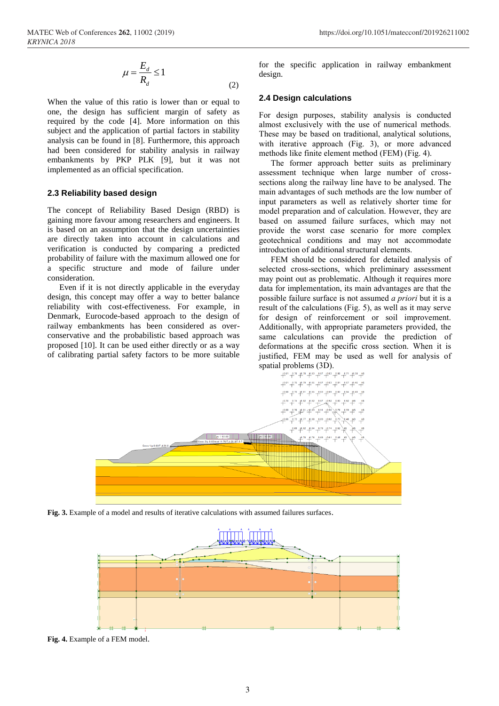$$
\mu = \frac{E_d}{R_d} \le 1\tag{2}
$$

When the value of this ratio is lower than or equal to one, the design has sufficient margin of safety as required by the code [\[4\]](#page-6-3). More information on this subject and the application of partial factors in stability analysis can be found in [\[8\]](#page-6-7). Furthermore, this approach had been considered for stability analysis in railway embankments by PKP PLK [\[9\]](#page-6-8), but it was not implemented as an official specification.

#### **2.3 Reliability based design**

The concept of Reliability Based Design (RBD) is gaining more favour among researchers and engineers. It is based on an assumption that the design uncertainties are directly taken into account in calculations and verification is conducted by comparing a predicted probability of failure with the maximum allowed one for a specific structure and mode of failure under consideration.

Even if it is not directly applicable in the everyday design, this concept may offer a way to better balance reliability with cost-effectiveness. For example, in Denmark, Eurocode-based approach to the design of railway embankments has been considered as overconservative and the probabilistic based approach was proposed [\[10\]](#page-6-9). It can be used either directly or as a way of calibrating partial safety factors to be more suitable for the specific application in railway embankment design.

#### **2.4 Design calculations**

For design purposes, stability analysis is conducted almost exclusively with the use of numerical methods. These may be based on traditional, analytical solutions, with iterative approach (Fig. 3), or more advanced methods like finite element method (FEM) (Fig. 4).

The former approach better suits as preliminary assessment technique when large number of crosssections along the railway line have to be analysed. The main advantages of such methods are the low number of input parameters as well as relatively shorter time for model preparation and of calculation. However, they are based on assumed failure surfaces, which may not provide the worst case scenario for more complex geotechnical conditions and may not accommodate introduction of additional structural elements.

FEM should be considered for detailed analysis of selected cross-sections, which preliminary assessment may point out as problematic. Although it requires more data for implementation, its main advantages are that the possible failure surface is not assumed *a priori* but it is a result of the calculations (Fig. 5), as well as it may serve for design of reinforcement or soil improvement. Additionally, with appropriate parameters provided, the same calculations can provide the prediction of deformations at the specific cross section. When it is justified, FEM may be used as well for analysis of spatial problems (3D).



**Fig. 3.** Example of a model and results of iterative calculations with assumed failures surfaces.



**Fig. 4.** Example of a FEM model.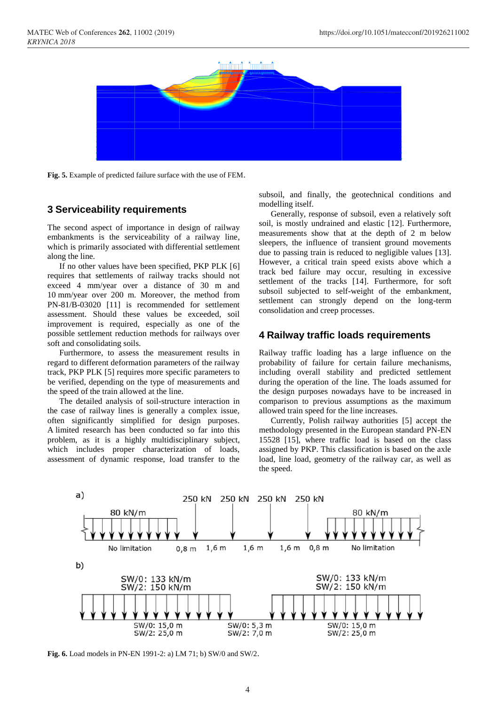

**Fig. 5.** Example of predicted failure surface with the use of FEM.

# **3 Serviceability requirements**

The second aspect of importance in design of railway embankments is the serviceability of a railway line, which is primarily associated with differential settlement along the line.

If no other values have been specified, PKP PLK [\[6\]](#page-6-5) requires that settlements of railway tracks should not exceed 4 mm/year over a distance of 30 m and 10 mm/year over 200 m. Moreover, the method from PN-81/B-03020 [\[11\]](#page-6-10) is recommended for settlement assessment. Should these values be exceeded, soil improvement is required, especially as one of the possible settlement reduction methods for railways over soft and consolidating soils.

Furthermore, to assess the measurement results in regard to different deformation parameters of the railway track, PKP PLK [\[5\]](#page-6-4) requires more specific parameters to be verified, depending on the type of measurements and the speed of the train allowed at the line.

The detailed analysis of soil-structure interaction in the case of railway lines is generally a complex issue, often significantly simplified for design purposes. A limited research has been conducted so far into this problem, as it is a highly multidisciplinary subject, which includes proper characterization of loads, assessment of dynamic response, load transfer to the

subsoil, and finally, the geotechnical conditions and modelling itself.

Generally, response of subsoil, even a relatively soft soil, is mostly undrained and elastic [\[12\]](#page-6-11). Furthermore, measurements show that at the depth of 2 m below sleepers, the influence of transient ground movements due to passing train is reduced to negligible values [\[13\]](#page-6-12). However, a critical train speed exists above which a track bed failure may occur, resulting in excessive settlement of the tracks [\[14\]](#page-6-13). Furthermore, for soft subsoil subjected to self-weight of the embankment, settlement can strongly depend on the long-term consolidation and creep processes.

## **4 Railway traffic loads requirements**

Railway traffic loading has a large influence on the probability of failure for certain failure mechanisms, including overall stability and predicted settlement during the operation of the line. The loads assumed for the design purposes nowadays have to be increased in comparison to previous assumptions as the maximum allowed train speed for the line increases.

Currently, Polish railway authorities [\[5\]](#page-6-4) accept the methodology presented in the European standard PN-EN 15528 [\[15\]](#page-6-14), where traffic load is based on the class assigned by PKP. This classification is based on the axle load, line load, geometry of the railway car, as well as the speed.



**Fig. 6.** Load models in PN-EN 1991-2: a) LM 71; b) SW/0 and SW/2.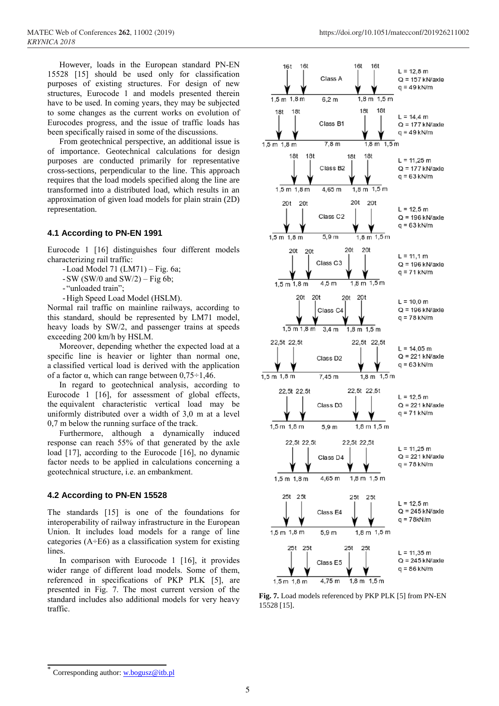However, loads in the European standard PN-EN 15528 [\[15\]](#page-6-14) should be used only for classification purposes of existing structures. For design of new structures, Eurocode 1 and models presented therein have to be used. In coming years, they may be subjected to some changes as the current works on evolution of Eurocodes progress, and the issue of traffic loads has been specifically raised in some of the discussions.

From geotechnical perspective, an additional issue is of importance. Geotechnical calculations for design purposes are conducted primarily for representative cross-sections, perpendicular to the line. This approach requires that the load models specified along the line are transformed into a distributed load, which results in an approximation of given load models for plain strain (2D) representation.

## **4.1 According to PN-EN 1991**

Eurocode 1 [\[16\]](#page-6-15) distinguishes four different models characterizing rail traffic:

-Load Model 71 (LM71) – Fig. 6a;

 $-SW$  (SW/0 and SW/2) – Fig 6b;

- "unloaded train";

-High Speed Load Model (HSLM).

Normal rail traffic on mainline railways, according to this standard, should be represented by LM71 model, heavy loads by SW/2, and passenger trains at speeds exceeding 200 km/h by HSLM.

Moreover, depending whether the expected load at a specific line is heavier or lighter than normal one, a classified vertical load is derived with the application of a factor α, which can range between  $0,75 \div 1,46$ .

In regard to geotechnical analysis, according to Eurocode 1 [\[16\]](#page-6-15), for assessment of global effects, the equivalent characteristic vertical load may be uniformly distributed over a width of 3,0 m at a level 0,7 m below the running surface of the track.

Furthermore, although a dynamically induced response can reach 55% of that generated by the axle load [\[17\]](#page-6-16), according to the Eurocode [\[16\]](#page-6-15), no dynamic factor needs to be applied in calculations concerning a geotechnical structure, i.e. an embankment.

#### **4.2 According to PN-EN 15528**

The standards [\[15\]](#page-6-14) is one of the foundations for interoperability of railway infrastructure in the European Union. It includes load models for a range of line categories  $(A + E6)$  as a classification system for existing lines.

In comparison with Eurocode 1 [\[16\]](#page-6-15), it provides wider range of different load models. Some of them, referenced in specifications of PKP PLK [\[5\]](#page-6-4), are presented in Fig. 7. The most current version of the standard includes also additional models for very heavy traffic.



**Fig. 7.** Load models referenced by PKP PLK [\[5\]](#page-6-4) from PN-EN 15528 [\[15\]](#page-6-14).

<sup>\*</sup> Corresponding author: [w.bogusz@itb.pl](mailto:w.bogusz@itb.pl)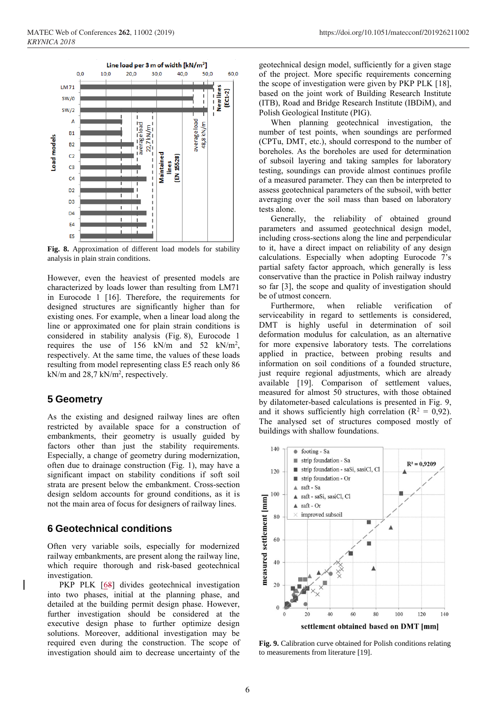

**Fig. 8.** Approximation of different load models for stability analysis in plain strain conditions.

However, even the heaviest of presented models are characterized by loads lower than resulting from LM71 in Eurocode 1 [\[16\]](#page-6-15). Therefore, the requirements for designed structures are significantly higher than for existing ones. For example, when a linear load along the line or approximated one for plain strain conditions is considered in stability analysis (Fig. 8), Eurocode 1 requires the use of  $156$  kN/m and  $52$  kN/m<sup>2</sup>, respectively. At the same time, the values of these loads resulting from model representing class E5 reach only 86 kN/m and 28,7 kN/m<sup>2</sup>, respectively.

## **5 Geometry**

As the existing and designed railway lines are often restricted by available space for a construction of embankments, their geometry is usually guided by factors other than just the stability requirements. Especially, a change of geometry during modernization, often due to drainage construction (Fig. 1), may have a significant impact on stability conditions if soft soil strata are present below the embankment. Cross-section design seldom accounts for ground conditions, as it is not the main area of focus for designers of railway lines.

## **6 Geotechnical conditions**

Often very variable soils, especially for modernized railway embankments, are present along the railway line, which require thorough and risk-based geotechnical investigation.

PKP PLK [\[68\]](#page-6-5) divides geotechnical investigation into two phases, initial at the planning phase, and detailed at the building permit design phase. However, further investigation should be considered at the executive design phase to further optimize design solutions. Moreover, additional investigation may be required even during the construction. The scope of investigation should aim to decrease uncertainty of the

geotechnical design model, sufficiently for a given stage of the project. More specific requirements concerning the scope of investigation were given by PKP PLK [\[18\]](#page-7-0), based on the joint work of Building Research Institute (ITB), Road and Bridge Research Institute (IBDiM), and Polish Geological Institute (PIG).

When planning geotechnical investigation, the number of test points, when soundings are performed (CPTu, DMT, etc.), should correspond to the number of boreholes. As the boreholes are used for determination of subsoil layering and taking samples for laboratory testing, soundings can provide almost continues profile of a measured parameter. They can then be interpreted to assess geotechnical parameters of the subsoil, with better averaging over the soil mass than based on laboratory tests alone.

Generally, the reliability of obtained ground parameters and assumed geotechnical design model, including cross-sections along the line and perpendicular to it, have a direct impact on reliability of any design calculations. Especially when adopting Eurocode 7's partial safety factor approach, which generally is less conservative than the practice in Polish railway industry so far [\[3\]](#page-6-2), the scope and quality of investigation should be of utmost concern.

Furthermore, when reliable verification of serviceability in regard to settlements is considered, DMT is highly useful in determination of soil deformation modulus for calculation, as an alternative for more expensive laboratory tests. The correlations applied in practice, between probing results and information on soil conditions of a founded structure, just require regional adjustments, which are already available [\[19\]](#page-7-1). Comparison of settlement values, measured for almost 50 structures, with those obtained by dilatometer-based calculations is presented in Fig. 9, and it shows sufficiently high correlation ( $R^2 = 0.92$ ). The analysed set of structures composed mostly of buildings with shallow foundations.



**Fig. 9.** Calibration curve obtained for Polish conditions relating to measurements from literature [\[19\]](#page-7-1).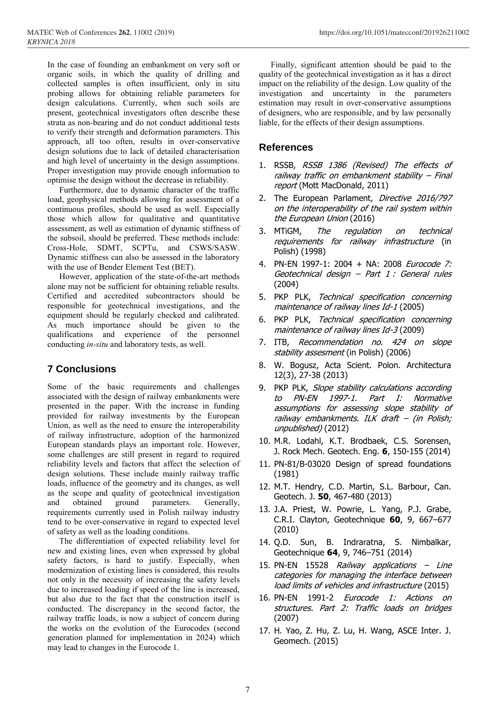In the case of founding an embankment on very soft or organic soils, in which the quality of drilling and collected samples is often insufficient, only in situ probing allows for obtaining reliable parameters for design calculations. Currently, when such soils are present, geotechnical investigators often describe these strata as non-bearing and do not conduct additional tests to verify their strength and deformation parameters. This approach, all too often, results in over-conservative design solutions due to lack of detailed characterisation and high level of uncertainty in the design assumptions. Proper investigation may provide enough information to optimise the design without the decrease in reliability.

Furthermore, due to dynamic character of the traffic load, geophysical methods allowing for assessment of a continuous profiles, should be used as well. Especially those which allow for qualitative and quantitative assessment, as well as estimation of dynamic stiffness of the subsoil, should be preferred. These methods include: Cross-Hole, SDMT, SCPTu, and CSWS/SASW. Dynamic stiffness can also be assessed in the laboratory with the use of Bender Element Test (BET).

However, application of the state-of-the-art methods alone may not be sufficient for obtaining reliable results. Certified and accredited subcontractors should be responsible for geotechnical investigations, and the equipment should be regularly checked and calibrated. As much importance should be given to the qualifications and experience of the personnel conducting *in-situ* and laboratory tests, as well.

# **7 Conclusions**

Some of the basic requirements and challenges associated with the design of railway embankments were presented in the paper. With the increase in funding provided for railway investments by the European Union, as well as the need to ensure the interoperability of railway infrastructure, adoption of the harmonized European standards plays an important role. However, some challenges are still present in regard to required reliability levels and factors that affect the selection of design solutions. These include mainly railway traffic loads, influence of the geometry and its changes, as well as the scope and quality of geotechnical investigation and obtained ground parameters. Generally, requirements currently used in Polish railway industry tend to be over-conservative in regard to expected level of safety as well as the loading conditions.

The differentiation of expected reliability level for new and existing lines, even when expressed by global safety factors, is hard to justify. Especially, when modernization of existing lines is considered, this results not only in the necessity of increasing the safety levels due to increased loading if speed of the line is increased, but also due to the fact that the construction itself is conducted. The discrepancy in the second factor, the railway traffic loads, is now a subject of concern during the works on the evolution of the Eurocodes (second generation planned for implementation in 2024) which may lead to changes in the Eurocode 1.

Finally, significant attention should be paid to the quality of the geotechnical investigation as it has a direct impact on the reliability of the design. Low quality of the investigation and uncertainty in the parameters estimation may result in over-conservative assumptions of designers, who are responsible, and by law personally liable, for the effects of their design assumptions.

## **References**

- <span id="page-6-0"></span>1. RSSB, RSSB 1386 (Revised) The effects of railway traffic on embankment stability – Final report (Mott MacDonald, 2011)
- <span id="page-6-1"></span>2. The European Parlament, Directive 2016/797 on the interoperability of the rail system within the European Union (2016)
- <span id="page-6-2"></span>3. MTiGM, The regulation on technical requirements for railway infrastructure (in Polish) (1998)
- <span id="page-6-3"></span>4. PN-EN 1997-1: 2004 + NA: 2008 Eurocode 7: Geotechnical design – Part 1 : General rules (2004)
- <span id="page-6-4"></span>5. PKP PLK, Technical specification concerning maintenance of railway lines Id-1 (2005)
- <span id="page-6-5"></span>6. PKP PLK, Technical specification concerning maintenance of railway lines Id-3 (2009)
- <span id="page-6-6"></span>7. ITB, Recommendation no. 424 on slope stability assesment (in Polish) (2006)
- <span id="page-6-7"></span>8. W. Bogusz, Acta Scient. Polon. Architectura 12(3), 27-38 (2013)
- <span id="page-6-8"></span>9. PKP PLK, Slope stability calculations according to PN-EN 1997-1. Part I: Normative assumptions for assessing slope stability of railway embankments. ILK draft – (in Polish; unpublished) (2012)
- <span id="page-6-9"></span>10. M.R. Lodahl, K.T. Brodbaek, C.S. Sorensen, J. Rock Mech. Geotech. Eng. **6**, 150-155 (2014)
- <span id="page-6-10"></span>11. PN-81/B-03020 Design of spread foundations (1981)
- <span id="page-6-11"></span>12. M.T. Hendry, C.D. Martin, S.L. Barbour, Can. Geotech. J. **50**, 467-480 (2013)
- <span id="page-6-12"></span>13. J.A. Priest, W. Powrie, L. Yang, P.J. Grabe, C.R.I. Clayton, Geotechnique **60**, 9, 667–677 (2010)
- <span id="page-6-13"></span>14. Q.D. Sun, B. Indraratna, S. Nimbalkar, Geotechnique **64**, 9, 746–751 (2014)
- <span id="page-6-14"></span>15. PN-EN 15528 Railway applications - Line categories for managing the interface between load limits of vehicles and infrastructure (2015)
- <span id="page-6-15"></span>16. PN-EN 1991-2 Eurocode 1: Actions on structures. Part 2: Traffic loads on bridges (2007)
- <span id="page-6-16"></span>17. H. Yao, Z. Hu, Z. Lu, H. Wang, ASCE Inter. J. Geomech. (2015)